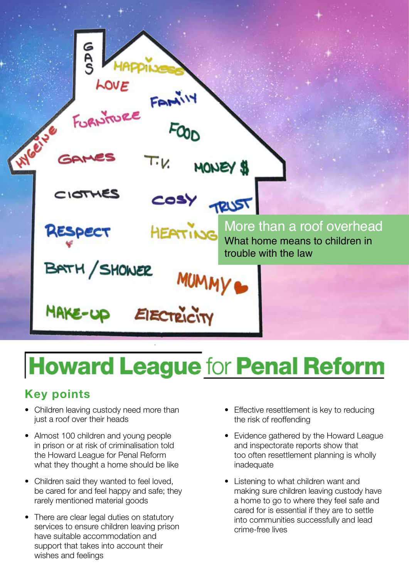

# **Howard League for Penal Reform**

# **Key points**

- Children leaving custody need more than just a roof over their heads
- Almost 100 children and young people in prison or at risk of criminalisation told the Howard League for Penal Reform what they thought a home should be like
- Children said they wanted to feel loved, be cared for and feel happy and safe; they rarely mentioned material goods
- There are clear legal duties on statutory services to ensure children leaving prison have suitable accommodation and support that takes into account their wishes and feelings
- Effective resettlement is key to reducing the risk of reoffending
- Evidence gathered by the Howard League and inspectorate reports show that too often resettlement planning is wholly inadequate
- Listening to what children want and making sure children leaving custody have a home to go to where they feel safe and cared for is essential if they are to settle into communities successfully and lead crime-free lives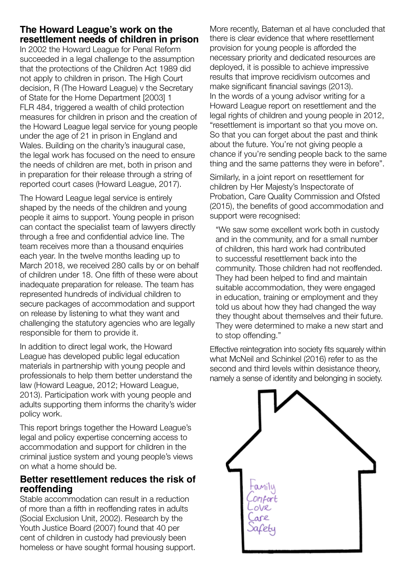# **The Howard League's work on the resettlement needs of children in prison**

In 2002 the Howard League for Penal Reform succeeded in a legal challenge to the assumption that the protections of the Children Act 1989 did not apply to children in prison. The High Court decision, R (The Howard League) v the Secretary of State for the Home Department [2003] 1 FLR 484, triggered a wealth of child protection measures for children in prison and the creation of the Howard League legal service for young people under the age of 21 in prison in England and Wales. Building on the charity's inaugural case, the legal work has focused on the need to ensure the needs of children are met, both in prison and in preparation for their release through a string of reported court cases (Howard League, 2017).

The Howard League legal service is entirely shaped by the needs of the children and young people it aims to support. Young people in prison can contact the specialist team of lawyers directly through a free and confidential advice line. The team receives more than a thousand enquiries each year. In the twelve months leading up to March 2018, we received 280 calls by or on behalf of children under 18. One fifth of these were about inadequate preparation for release. The team has represented hundreds of individual children to secure packages of accommodation and support on release by listening to what they want and challenging the statutory agencies who are legally responsible for them to provide it.

In addition to direct legal work, the Howard League has developed public legal education materials in partnership with young people and professionals to help them better understand the law (Howard League, 2012; Howard League, 2013). Participation work with young people and adults supporting them informs the charity's wider policy work.

This report brings together the Howard League's legal and policy expertise concerning access to accommodation and support for children in the criminal justice system and young people's views on what a home should be.

# **Better resettlement reduces the risk of reoffending**

Stable accommodation can result in a reduction of more than a fifth in reoffending rates in adults (Social Exclusion Unit, 2002). Research by the Youth Justice Board (2007) found that 40 per cent of children in custody had previously been homeless or have sought formal housing support. More recently, Bateman et al have concluded that there is clear evidence that where resettlement provision for young people is afforded the necessary priority and dedicated resources are deployed, it is possible to achieve impressive results that improve recidivism outcomes and make significant financial savings (2013). In the words of a young advisor writing for a Howard League report on resettlement and the legal rights of children and young people in 2012, "resettlement is important so that you move on. So that you can forget about the past and think about the future. You're not giving people a chance if you're sending people back to the same thing and the same patterns they were in before".

Similarly, in a joint report on resettlement for children by Her Majesty's Inspectorate of Probation, Care Quality Commission and Ofsted (2015), the benefits of good accommodation and support were recognised:

"We saw some excellent work both in custody and in the community, and for a small number of children, this hard work had contributed to successful resettlement back into the community. Those children had not reoffended. They had been helped to find and maintain suitable accommodation, they were engaged in education, training or employment and they told us about how they had changed the way they thought about themselves and their future. They were determined to make a new start and to stop offending."

Effective reintegration into society fits squarely within what McNeil and Schinkel (2016) refer to as the second and third levels within desistance theory, namely a sense of identity and belonging in society.

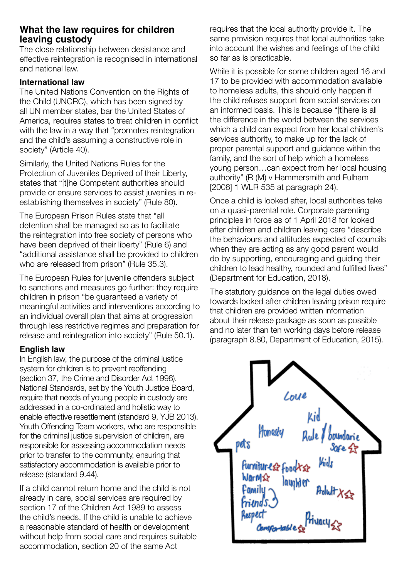# **What the law requires for children leaving custody**

The close relationship between desistance and effective reintegration is recognised in international and national law.

#### **International law**

The United Nations Convention on the Rights of the Child (UNCRC), which has been signed by all UN member states, bar the United States of America, requires states to treat children in conflict with the law in a way that "promotes reintegration and the child's assuming a constructive role in society" (Article 40).

Similarly, the United Nations Rules for the Protection of Juveniles Deprived of their Liberty, states that "[t]he Competent authorities should provide or ensure services to assist juveniles in reestablishing themselves in society" (Rule 80).

The European Prison Rules state that "all detention shall be managed so as to facilitate the reintegration into free society of persons who have been deprived of their liberty" (Rule 6) and "additional assistance shall be provided to children who are released from prison" (Rule 35.3).

The European Rules for juvenile offenders subject to sanctions and measures go further: they require children in prison "be guaranteed a variety of meaningful activities and interventions according to an individual overall plan that aims at progression through less restrictive regimes and preparation for release and reintegration into society" (Rule 50.1).

#### **English law**

In English law, the purpose of the criminal justice system for children is to prevent reoffending (section 37, the Crime and Disorder Act 1998). National Standards, set by the Youth Justice Board, require that needs of young people in custody are addressed in a co-ordinated and holistic way to enable effective resettlement (standard 9, YJB 2013). Youth Offending Team workers, who are responsible for the criminal justice supervision of children, are responsible for assessing accommodation needs prior to transfer to the community, ensuring that satisfactory accommodation is available prior to release (standard 9.44).

If a child cannot return home and the child is not already in care, social services are required by section 17 of the Children Act 1989 to assess the child's needs. If the child is unable to achieve a reasonable standard of health or development without help from social care and requires suitable accommodation, section 20 of the same Act

requires that the local authority provide it. The same provision requires that local authorities take into account the wishes and feelings of the child so far as is practicable.

While it is possible for some children aged 16 and 17 to be provided with accommodation available to homeless adults, this should only happen if the child refuses support from social services on an informed basis. This is because "[t]here is all the difference in the world between the services which a child can expect from her local children's services authority, to make up for the lack of proper parental support and guidance within the family, and the sort of help which a homeless young person…can expect from her local housing authority" (R (M) v Hammersmith and Fulham [2008] 1 WLR 535 at paragraph 24).

Once a child is looked after, local authorities take on a quasi-parental role. Corporate parenting principles in force as of 1 April 2018 for looked after children and children leaving care "describe the behaviours and attitudes expected of councils when they are acting as any good parent would do by supporting, encouraging and guiding their children to lead healthy, rounded and fulfilled lives" (Department for Education, 2018).

The statutory guidance on the legal duties owed towards looked after children leaving prison require that children are provided written information about their release package as soon as possible and no later than ten working days before release (paragraph 8.80, Department of Education, 2015).

Honesty voundarie pots IFE IF Furnitures food **WarM≰** layakt ei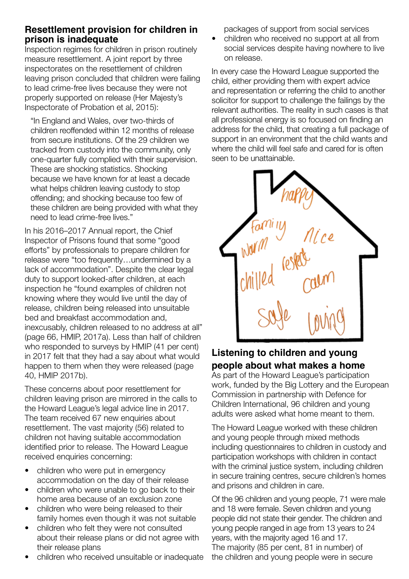# **Resettlement provision for children in prison is inadequate**

Inspection regimes for children in prison routinely measure resettlement. A joint report by three inspectorates on the resettlement of children leaving prison concluded that children were failing to lead crime-free lives because they were not properly supported on release (Her Majesty's Inspectorate of Probation et al, 2015):

"In England and Wales, over two-thirds of children reoffended within 12 months of release from secure institutions. Of the 29 children we tracked from custody into the community, only one-quarter fully complied with their supervision. These are shocking statistics. Shocking because we have known for at least a decade what helps children leaving custody to stop offending; and shocking because too few of these children are being provided with what they need to lead crime-free lives."

In his 2016–2017 Annual report, the Chief Inspector of Prisons found that some "good efforts" by professionals to prepare children for release were "too frequently…undermined by a lack of accommodation". Despite the clear legal duty to support looked-after children, at each inspection he "found examples of children not knowing where they would live until the day of release, children being released into unsuitable bed and breakfast accommodation and, inexcusably, children released to no address at all" (page 66, HMIP, 2017a). Less than half of children who responded to surveys by HMIP (41 per cent) in 2017 felt that they had a say about what would happen to them when they were released (page 40, HMIP 2017b).

These concerns about poor resettlement for children leaving prison are mirrored in the calls to the Howard League's legal advice line in 2017. The team received 67 new enquiries about resettlement. The vast majority (56) related to children not having suitable accommodation identified prior to release. The Howard League received enquiries concerning:

- children who were put in emergency accommodation on the day of their release
- children who were unable to go back to their home area because of an exclusion zone
- children who were being released to their family homes even though it was not suitable
- children who felt they were not consulted about their release plans or did not agree with their release plans
- children who received unsuitable or inadequate

packages of support from social services

children who received no support at all from social services despite having nowhere to live on release.

In every case the Howard League supported the child, either providing them with expert advice and representation or referring the child to another solicitor for support to challenge the failings by the relevant authorities. The reality in such cases is that all professional energy is so focused on finding an address for the child, that creating a full package of support in an environment that the child wants and where the child will feel safe and cared for is often seen to be unattainable.



# **Listening to children and young people about what makes a home**

As part of the Howard League's participation work, funded by the Big Lottery and the European Commission in partnership with Defence for Children International, 96 children and young adults were asked what home meant to them.

The Howard League worked with these children and young people through mixed methods including questionnaires to children in custody and participation workshops with children in contact with the criminal justice system, including children in secure training centres, secure children's homes and prisons and children in care.

Of the 96 children and young people, 71 were male and 18 were female. Seven children and young people did not state their gender. The children and young people ranged in age from 13 years to 24 years, with the majority aged 16 and 17. The majority (85 per cent, 81 in number) of the children and young people were in secure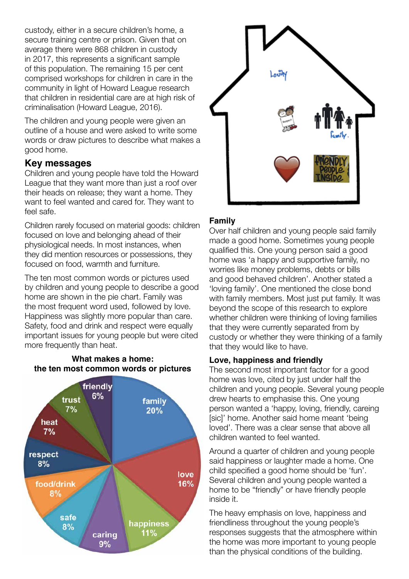custody, either in a secure children's home, a secure training centre or prison. Given that on average there were 868 children in custody in 2017, this represents a significant sample of this population. The remaining 15 per cent comprised workshops for children in care in the community in light of Howard League research that children in residential care are at high risk of criminalisation (Howard League, 2016).

The children and young people were given an outline of a house and were asked to write some words or draw pictures to describe what makes a good home.

# **Key messages**

Children and young people have told the Howard League that they want more than just a roof over their heads on release; they want a home. They want to feel wanted and cared for. They want to feel safe.

Children rarely focused on material goods: children focused on love and belonging ahead of their physiological needs. In most instances, when they did mention resources or possessions, they focused on food, warmth and furniture.

The ten most common words or pictures used by children and young people to describe a good home are shown in the pie chart. Family was the most frequent word used, followed by love. Happiness was slightly more popular than care. Safety, food and drink and respect were equally important issues for young people but were cited more frequently than heat.



#### **What makes a home: the ten most common words or pictures**



# **Family**

Over half children and young people said family made a good home. Sometimes young people qualified this. One young person said a good home was 'a happy and supportive family, no worries like money problems, debts or bills and good behaved children'. Another stated a 'loving family'. One mentioned the close bond with family members. Most just put family. It was beyond the scope of this research to explore whether children were thinking of loving families that they were currently separated from by custody or whether they were thinking of a family that they would like to have.

# **Love, happiness and friendly**

The second most important factor for a good home was love, cited by just under half the children and young people. Several young people drew hearts to emphasise this. One young person wanted a 'happy, loving, friendly, careing [sic]' home. Another said home meant 'being loved'. There was a clear sense that above all children wanted to feel wanted.

Around a quarter of children and young people said happiness or laughter made a home. One child specified a good home should be 'fun'. Several children and young people wanted a home to be "friendly" or have friendly people inside it.

The heavy emphasis on love, happiness and friendliness throughout the young people's responses suggests that the atmosphere within the home was more important to young people than the physical conditions of the building.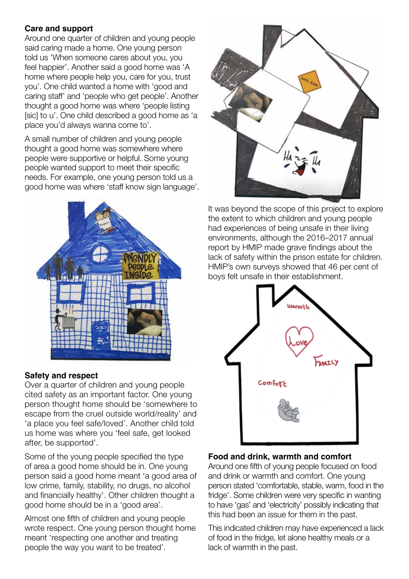### **Care and support**

Around one quarter of children and young people said caring made a home. One young person told us 'When someone cares about you, you feel happier'. Another said a good home was 'A home where people help you, care for you, trust you'. One child wanted a home with 'good and caring staff' and 'people who get people'. Another thought a good home was where 'people listing [sic] to u'. One child described a good home as 'a place you'd always wanna come to'.

A small number of children and young people thought a good home was somewhere where people were supportive or helpful. Some young people wanted support to meet their specific needs. For example, one young person told us a good home was where 'staff know sign language'.



#### **Safety and respect**

Over a quarter of children and young people cited safety as an important factor. One young person thought home should be 'somewhere to escape from the cruel outside world/reality' and 'a place you feel safe/loved'. Another child told us home was where you 'feel safe, get looked after, be supported'.

Some of the young people specified the type of area a good home should be in. One young person said a good home meant 'a good area of low crime, family, stability, no drugs, no alcohol and financially healthy'. Other children thought a good home should be in a 'good area'.

Almost one fifth of children and young people wrote respect. One young person thought home meant 'respecting one another and treating people the way you want to be treated'.



It was beyond the scope of this project to explore the extent to which children and young people had experiences of being unsafe in their living environments, although the 2016–2017 annual report by HMIP made grave findings about the lack of safety within the prison estate for children. HMIP's own surveys showed that 46 per cent of boys felt unsafe in their establishment.



#### **Food and drink, warmth and comfort**

Around one fifth of young people focused on food and drink or warmth and comfort. One young person stated 'comfortable, stable, warm, food in the fridge'. Some children were very specific in wanting to have 'gas' and 'electricity' possibly indicating that this had been an issue for them in the past.

This indicated children may have experienced a lack of food in the fridge, let alone healthy meals or a lack of warmth in the past.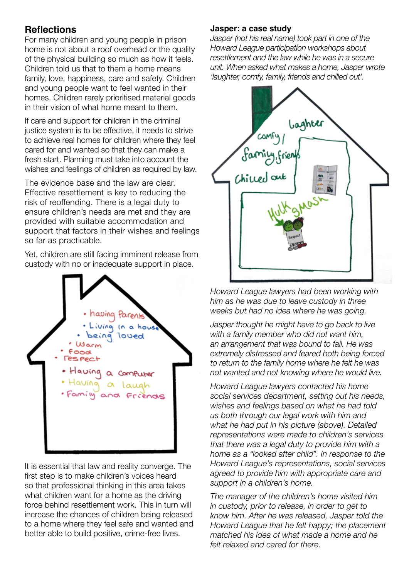# **Reflections**

For many children and young people in prison home is not about a roof overhead or the quality of the physical building so much as how it feels. Children told us that to them a home means family, love, happiness, care and safety. Children and young people want to feel wanted in their homes. Children rarely prioritised material goods in their vision of what home meant to them.

If care and support for children in the criminal justice system is to be effective, it needs to strive to achieve real homes for children where they feel cared for and wanted so that they can make a fresh start. Planning must take into account the wishes and feelings of children as required by law.

The evidence base and the law are clear. Effective resettlement is key to reducing the risk of reoffending. There is a legal duty to ensure children's needs are met and they are provided with suitable accommodation and support that factors in their wishes and feelings so far as practicable.

Yet, children are still facing imminent release from custody with no or inadequate support in place.



It is essential that law and reality converge. The first step is to make children's voices heard so that professional thinking in this area takes what children want for a home as the driving force behind resettlement work. This in turn will increase the chances of children being released to a home where they feel safe and wanted and better able to build positive, crime-free lives.

#### **Jasper: a case study**

*Jasper (not his real name) took part in one of the Howard League participation workshops about resettlement and the law while he was in a secure unit. When asked what makes a home, Jasper wrote 'laughter, comfy, family, friends and chilled out'.* 



*Howard League lawyers had been working with him as he was due to leave custody in three weeks but had no idea where he was going.* 

*Jasper thought he might have to go back to live with a family member who did not want him, an arrangement that was bound to fail. He was extremely distressed and feared both being forced to return to the family home where he felt he was not wanted and not knowing where he would live.* 

*Howard League lawyers contacted his home social services department, setting out his needs, wishes and feelings based on what he had told us both through our legal work with him and what he had put in his picture (above). Detailed representations were made to children's services that there was a legal duty to provide him with a home as a "looked after child". In response to the Howard League's representations, social services agreed to provide him with appropriate care and support in a children's home.* 

*The manager of the children's home visited him in custody, prior to release, in order to get to know him. After he was released, Jasper told the Howard League that he felt happy; the placement matched his idea of what made a home and he felt relaxed and cared for there.*